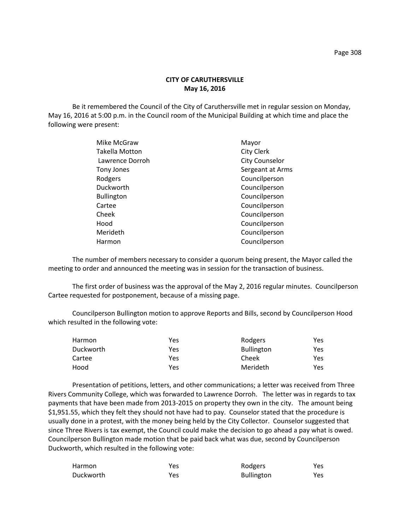# **CITY OF CARUTHERSVILLE May 16, 2016**

Be it remembered the Council of the City of Caruthersville met in regular session on Monday, May 16, 2016 at 5:00 p.m. in the Council room of the Municipal Building at which time and place the following were present:

| Mike McGraw           | Mayor                 |
|-----------------------|-----------------------|
| <b>Takella Motton</b> | City Clerk            |
| Lawrence Dorroh       | <b>City Counselor</b> |
| Tony Jones            | Sergeant at Arms      |
| Rodgers               | Councilperson         |
| Duckworth             | Councilperson         |
| <b>Bullington</b>     | Councilperson         |
| Cartee                | Councilperson         |
| Cheek                 | Councilperson         |
| Hood                  | Councilperson         |
| Merideth              | Councilperson         |
| Harmon                | Councilperson         |
|                       |                       |

The number of members necessary to consider a quorum being present, the Mayor called the meeting to order and announced the meeting was in session for the transaction of business.

The first order of business was the approval of the May 2, 2016 regular minutes. Councilperson Cartee requested for postponement, because of a missing page.

Councilperson Bullington motion to approve Reports and Bills, second by Councilperson Hood which resulted in the following vote:

| Harmon    | Yes | Rodgers           | Yes |
|-----------|-----|-------------------|-----|
| Duckworth | Yes | <b>Bullington</b> | Yes |
| Cartee    | Yes | Cheek             | Yes |
| Hood      | Yes | Merideth          | Yes |

Presentation of petitions, letters, and other communications; a letter was received from Three Rivers Community College, which was forwarded to Lawrence Dorroh. The letter was in regards to tax payments that have been made from 2013-2015 on property they own in the city. The amount being \$1,951.55, which they felt they should not have had to pay. Counselor stated that the procedure is usually done in a protest, with the money being held by the City Collector. Counselor suggested that since Three Rivers is tax exempt, the Council could make the decision to go ahead a pay what is owed. Councilperson Bullington made motion that be paid back what was due, second by Councilperson Duckworth, which resulted in the following vote:

| Harmon    | Yes | Rodgers           | Yes |
|-----------|-----|-------------------|-----|
| Duckworth | Yes | <b>Bullington</b> | Yes |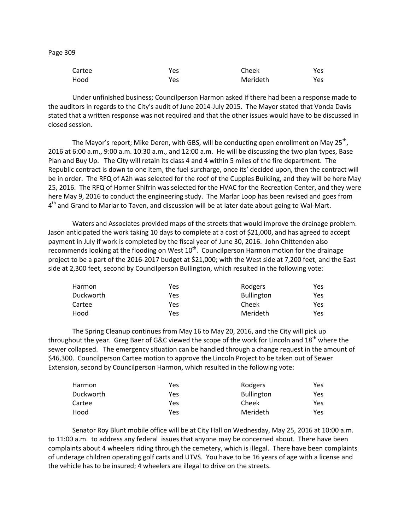Page 309

| Cartee | Yes | Cheek    | Yes  |
|--------|-----|----------|------|
| Hood   | Yes | Merideth | Yes. |

Under unfinished business; Councilperson Harmon asked if there had been a response made to the auditors in regards to the City's audit of June 2014-July 2015. The Mayor stated that Vonda Davis stated that a written response was not required and that the other issues would have to be discussed in closed session.

The Mayor's report; Mike Deren, with GBS, will be conducting open enrollment on May 25<sup>th</sup>, 2016 at 6:00 a.m., 9:00 a.m. 10:30 a.m., and 12:00 a.m. He will be discussing the two plan types, Base Plan and Buy Up. The City will retain its class 4 and 4 within 5 miles of the fire department. The Republic contract is down to one item, the fuel surcharge, once its' decided upon, then the contract will be in order. The RFQ of A2h was selected for the roof of the Cupples Building, and they will be here May 25, 2016. The RFQ of Horner Shifrin was selected for the HVAC for the Recreation Center, and they were here May 9, 2016 to conduct the engineering study. The Marlar Loop has been revised and goes from 4<sup>th</sup> and Grand to Marlar to Taven, and discussion will be at later date about going to Wal-Mart.

Waters and Associates provided maps of the streets that would improve the drainage problem. Jason anticipated the work taking 10 days to complete at a cost of \$21,000, and has agreed to accept payment in July if work is completed by the fiscal year of June 30, 2016. John Chittenden also recommends looking at the flooding on West 10<sup>th</sup>. Councilperson Harmon motion for the drainage project to be a part of the 2016-2017 budget at \$21,000; with the West side at 7,200 feet, and the East side at 2,300 feet, second by Councilperson Bullington, which resulted in the following vote:

| Harmon    | Yes | Rodgers           | Yes |
|-----------|-----|-------------------|-----|
| Duckworth | Yes | <b>Bullington</b> | Yes |
| Cartee    | Yes | Cheek             | Yes |
| Hood      | Yes | Merideth          | Yes |

The Spring Cleanup continues from May 16 to May 20, 2016, and the City will pick up throughout the year. Greg Baer of G&C viewed the scope of the work for Lincoln and  $18<sup>th</sup>$  where the sewer collapsed. The emergency situation can be handled through a change request in the amount of \$46,300. Councilperson Cartee motion to approve the Lincoln Project to be taken out of Sewer Extension, second by Councilperson Harmon, which resulted in the following vote:

| <b>Harmon</b> | Yes | Rodgers           | Yes |
|---------------|-----|-------------------|-----|
| Duckworth     | Yes | <b>Bullington</b> | Yes |
| Cartee        | Yes | Cheek             | Yes |
| Hood          | Yes | Merideth          | Yes |

Senator Roy Blunt mobile office will be at City Hall on Wednesday, May 25, 2016 at 10:00 a.m. to 11:00 a.m. to address any federal issues that anyone may be concerned about. There have been complaints about 4 wheelers riding through the cemetery, which is illegal. There have been complaints of underage children operating golf carts and UTVS. You have to be 16 years of age with a license and the vehicle has to be insured; 4 wheelers are illegal to drive on the streets.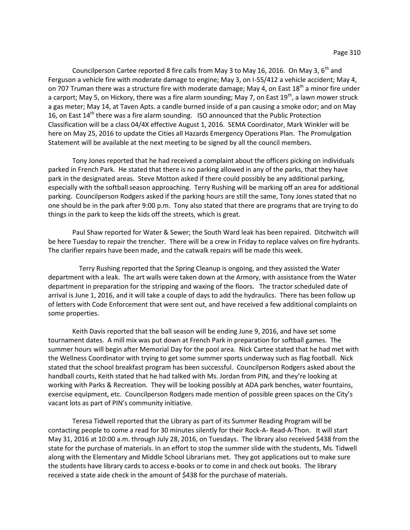Councilperson Cartee reported 8 fire calls from May 3 to May 16, 2016. On May 3,  $6<sup>th</sup>$  and Ferguson a vehicle fire with moderate damage to engine; May 3, on I-55/412 a vehicle accident; May 4, on 707 Truman there was a structure fire with moderate damage; May 4, on East  $18^{th}$  a minor fire under a carport; May 5, on Hickory, there was a fire alarm sounding; May 7, on East 19<sup>th</sup>, a lawn mower struck a gas meter; May 14, at Taven Apts. a candle burned inside of a pan causing a smoke odor; and on May 16, on East  $14<sup>th</sup>$  there was a fire alarm sounding. ISO announced that the Public Protection Classification will be a class 04/4X effective August 1, 2016. SEMA Coordinator, Mark Winkler will be here on May 25, 2016 to update the Cities all Hazards Emergency Operations Plan. The Promulgation Statement will be available at the next meeting to be signed by all the council members.

Tony Jones reported that he had received a complaint about the officers picking on individuals parked in French Park. He stated that there is no parking allowed in any of the parks, that they have park in the designated areas. Steve Motton asked if there could possibly be any additional parking, especially with the softball season approaching. Terry Rushing will be marking off an area for additional parking. Councilperson Rodgers asked if the parking hours are still the same, Tony Jones stated that no one should be in the park after 9:00 p.m. Tony also stated that there are programs that are trying to do things in the park to keep the kids off the streets, which is great.

Paul Shaw reported for Water & Sewer; the South Ward leak has been repaired. Ditchwitch will be here Tuesday to repair the trencher. There will be a crew in Friday to replace valves on fire hydrants. The clarifier repairs have been made, and the catwalk repairs will be made this week.

 Terry Rushing reported that the Spring Cleanup is ongoing, and they assisted the Water department with a leak. The art walls were taken down at the Armory, with assistance from the Water department in preparation for the stripping and waxing of the floors. The tractor scheduled date of arrival is June 1, 2016, and it will take a couple of days to add the hydraulics. There has been follow up of letters with Code Enforcement that were sent out, and have received a few additional complaints on some properties.

Keith Davis reported that the ball season will be ending June 9, 2016, and have set some tournament dates. A mill mix was put down at French Park in preparation for softball games. The summer hours will begin after Memorial Day for the pool area. Nick Cartee stated that he had met with the Wellness Coordinator with trying to get some summer sports underway such as flag football. Nick stated that the school breakfast program has been successful. Councilperson Rodgers asked about the handball courts, Keith stated that he had talked with Ms. Jordan from PIN, and they're looking at working with Parks & Recreation. They will be looking possibly at ADA park benches, water fountains, exercise equipment, etc. Councilperson Rodgers made mention of possible green spaces on the City's vacant lots as part of PIN's community initiative.

Teresa Tidwell reported that the Library as part of its Summer Reading Program will be contacting people to come a read for 30 minutes silently for their Rock-A- Read-A-Thon. It will start May 31, 2016 at 10:00 a.m. through July 28, 2016, on Tuesdays. The library also received \$438 from the state for the purchase of materials. In an effort to stop the summer slide with the students, Ms. Tidwell along with the Elementary and Middle School Librarians met. They got applications out to make sure the students have library cards to access e-books or to come in and check out books. The library received a state aide check in the amount of \$438 for the purchase of materials.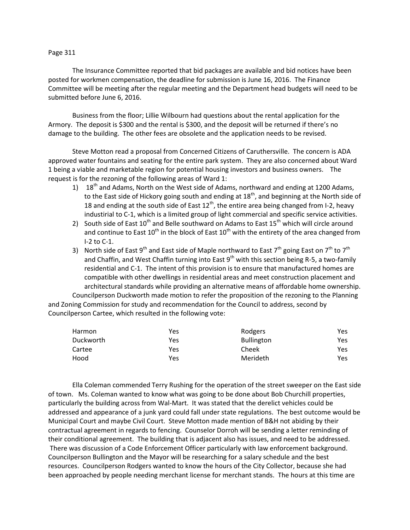## Page 311

The Insurance Committee reported that bid packages are available and bid notices have been posted for workmen compensation, the deadline for submission is June 16, 2016. The Finance Committee will be meeting after the regular meeting and the Department head budgets will need to be submitted before June 6, 2016.

Business from the floor; Lillie Wilbourn had questions about the rental application for the Armory. The deposit is \$300 and the rental is \$300, and the deposit will be returned if there's no damage to the building. The other fees are obsolete and the application needs to be revised.

Steve Motton read a proposal from Concerned Citizens of Caruthersville. The concern is ADA approved water fountains and seating for the entire park system. They are also concerned about Ward 1 being a viable and marketable region for potential housing investors and business owners. The request is for the rezoning of the following areas of Ward 1:

- 1)  $18^{th}$  and Adams, North on the West side of Adams, northward and ending at 1200 Adams, to the East side of Hickory going south and ending at  $18<sup>th</sup>$ , and beginning at the North side of 18 and ending at the south side of East  $12^{th}$ , the entire area being changed from I-2, heavy industirial to C-1, which is a limited group of light commercial and specific service activities.
- 2) South side of East  $10^{th}$  and Belle southward on Adams to East  $15^{th}$  which will circle around and continue to East  $10^{th}$  in the block of East  $10^{th}$  with the entirety of the area changed from I-2 to C-1.
- 3) North side of East 9<sup>th</sup> and East side of Maple northward to East 7<sup>th</sup> going East on 7<sup>th</sup> to 7<sup>th</sup> and Chaffin, and West Chaffin turning into East  $9<sup>th</sup>$  with this section being R-5, a two-family residential and C-1. The intent of this provision is to ensure that manufactured homes are compatible with other dwellings in residential areas and meet construction placement and architectural standards while providing an alternative means of affordable home ownership.

Councilperson Duckworth made motion to refer the proposition of the rezoning to the Planning and Zoning Commission for study and recommendation for the Council to address, second by Councilperson Cartee, which resulted in the following vote:

| Harmon    | Yes | Rodgers           | Yes |
|-----------|-----|-------------------|-----|
| Duckworth | Yes | <b>Bullington</b> | Yes |
| Cartee    | Yes | Cheek             | Yes |
| Hood      | Yes | Merideth          | Yes |

Ella Coleman commended Terry Rushing for the operation of the street sweeper on the East side of town. Ms. Coleman wanted to know what was going to be done about Bob Churchill properties, particularly the building across from Wal-Mart. It was stated that the derelict vehicles could be addressed and appearance of a junk yard could fall under state regulations. The best outcome would be Municipal Court and maybe Civil Court. Steve Motton made mention of B&H not abiding by their contractual agreement in regards to fencing. Counselor Dorroh will be sending a letter reminding of their conditional agreement. The building that is adjacent also has issues, and need to be addressed. There was discussion of a Code Enforcement Officer particularly with law enforcement background. Councilperson Bullington and the Mayor will be researching for a salary schedule and the best resources. Councilperson Rodgers wanted to know the hours of the City Collector, because she had been approached by people needing merchant license for merchant stands. The hours at this time are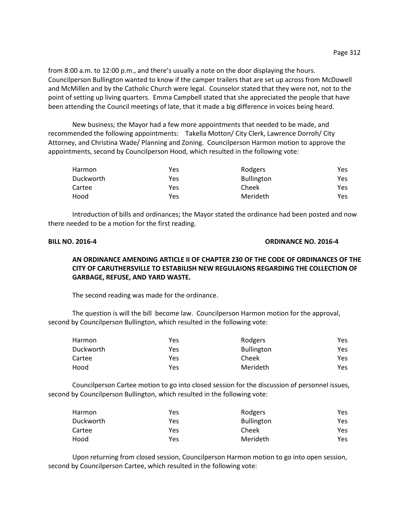from 8:00 a.m. to 12:00 p.m., and there's usually a note on the door displaying the hours. Councilperson Bullington wanted to know if the camper trailers that are set up across from McDowell and McMillen and by the Catholic Church were legal. Counselor stated that they were not, not to the point of setting up living quarters. Emma Campbell stated that she appreciated the people that have been attending the Council meetings of late, that it made a big difference in voices being heard.

New business; the Mayor had a few more appointments that needed to be made, and recommended the following appointments: Takella Motton/ City Clerk, Lawrence Dorroh/ City Attorney, and Christina Wade/ Planning and Zoning. Councilperson Harmon motion to approve the appointments, second by Councilperson Hood, which resulted in the following vote:

| Harmon    | Yes | Rodgers           | Yes |
|-----------|-----|-------------------|-----|
| Duckworth | Yes | <b>Bullington</b> | Yes |
| Cartee    | Yes | Cheek             | Yes |
| Hood      | Yes | Merideth          | Yes |

Introduction of bills and ordinances; the Mayor stated the ordinance had been posted and now there needed to be a motion for the first reading.

## **BILL NO. 2016-4 ORDINANCE NO. 2016-4**

# **AN ORDINANCE AMENDING ARTICLE II OF CHAPTER 230 OF THE CODE OF ORDINANCES OF THE CITY OF CARUTHERSVILLE TO ESTABILISH NEW REGULAIONS REGARDING THE COLLECTION OF GARBAGE, REFUSE, AND YARD WASTE.**

The second reading was made for the ordinance.

The question is will the bill become law. Councilperson Harmon motion for the approval, second by Councilperson Bullington, which resulted in the following vote:

| Harmon    | Yes | Rodgers           | Yes |
|-----------|-----|-------------------|-----|
| Duckworth | Yes | <b>Bullington</b> | Yes |
| Cartee    | Yes | Cheek             | Yes |
| Hood      | Yes | Merideth          | Yes |

Councilperson Cartee motion to go into closed session for the discussion of personnel issues, second by Councilperson Bullington, which resulted in the following vote:

| Harmon    | Yes | Rodgers           | Yes |
|-----------|-----|-------------------|-----|
| Duckworth | Yes | <b>Bullington</b> | Yes |
| Cartee    | Yes | Cheek             | Yes |
| Hood      | Yes | Merideth          | Yes |

Upon returning from closed session, Councilperson Harmon motion to go into open session, second by Councilperson Cartee, which resulted in the following vote: